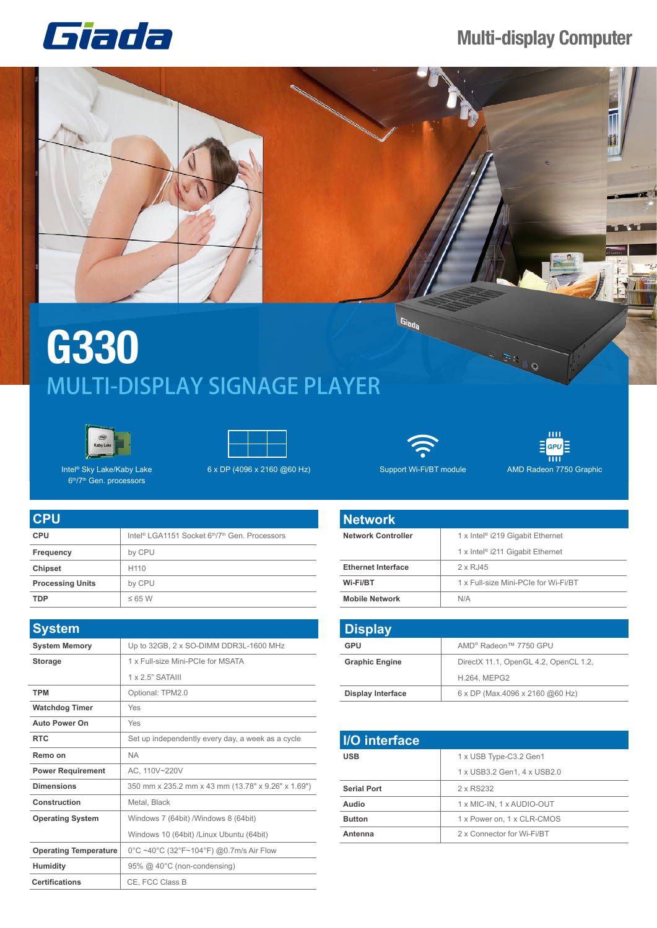## Giada

## **Multi-display Computer**



## **G330** MULTI-DISPLAY SIGNAGE PLAYER





Intel® Sky Lake/Kaby Lake 6th/7th Gen. processors

| <b>CPU</b>              |                                                                                    |
|-------------------------|------------------------------------------------------------------------------------|
| <b>CPU</b>              | Intel <sup>®</sup> LGA1151 Socket 6 <sup>th</sup> /7 <sup>th</sup> Gen. Processors |
| Frequency               | by CPU                                                                             |
| <b>Chipset</b>          | H <sub>110</sub>                                                                   |
| <b>Processing Units</b> | by CPU                                                                             |
| <b>TDP</b>              | $\leq 65$ W                                                                        |

| <b>System</b>                |                                                    |
|------------------------------|----------------------------------------------------|
| <b>System Memory</b>         | Up to 32GB, 2 x SO-DIMM DDR3L-1600 MHz             |
| <b>Storage</b>               | 1 x Full-size Mini-PCIe for MSATA                  |
|                              | $1 \times 2$ 5" SATAIII                            |
| <b>TPM</b>                   | Optional: TPM2.0                                   |
| <b>Watchdog Timer</b>        | Yes                                                |
| <b>Auto Power On</b>         | Yes                                                |
| <b>RTC</b>                   | Set up independently every day, a week as a cycle  |
| Remo on                      | <b>NA</b>                                          |
| <b>Power Requirement</b>     | AC. 110V~220V                                      |
| <b>Dimensions</b>            | 350 mm x 235.2 mm x 43 mm (13.78" x 9.26" x 1.69") |
| Construction                 | Metal, Black                                       |
| <b>Operating System</b>      | Windows 7 (64bit) /Windows 8 (64bit)               |
|                              | Windows 10 (64bit) /Linux Ubuntu (64bit)           |
| <b>Operating Temperature</b> | 0°C ~40°C (32°F~104°F) @0.7m/s Air Flow            |
| <b>Humidity</b>              | 95% @ 40°C (non-condensing)                        |
| <b>Certifications</b>        | CE, FCC Class B                                    |



Giada

 $GPU$  $\overline{\mathbf{m}}$ 

**The State** 

**MILLE** 

6 x DP (4096 x 2160 @60 Hz) Support Wi-Fi/BT module

AMD Radeon 7750 Graphic

| <b>Network</b>            |                                              |
|---------------------------|----------------------------------------------|
| <b>Network Controller</b> | 1 x Intel <sup>®</sup> i219 Gigabit Ethernet |
|                           | 1 x Intel <sup>®</sup> i211 Gigabit Ethernet |
| <b>Ethernet Interface</b> | 2 x RJ45                                     |
| Wi-Fi/BT                  | 1 x Full-size Mini-PCIe for Wi-Fi/BT         |
| <b>Mobile Network</b>     | N/A                                          |

| <b>Display</b>           |                                        |
|--------------------------|----------------------------------------|
| GPU                      | AMD® Radeon™ 7750 GPU                  |
| <b>Graphic Engine</b>    | DirectX 11.1, OpenGL 4.2, OpenCL 1.2,  |
|                          | <b>H.264, MEPG2</b>                    |
| <b>Display Interface</b> | $6 \times DP$ (Max.4096 x 2160 @60 Hz) |

| I/O interface      |                             |
|--------------------|-----------------------------|
| <b>USB</b>         | 1 x USB Type-C3.2 Gen1      |
|                    | 1 x USB3.2 Gen1, 4 x USB2.0 |
| <b>Serial Port</b> | 2 x RS232                   |
| Audio              | 1 x MIC-IN, 1 x AUDIO-OUT   |
| <b>Button</b>      | 1 x Power on, 1 x CLR-CMOS  |
| Antenna            | 2 x Connector for Wi-Fi/BT  |